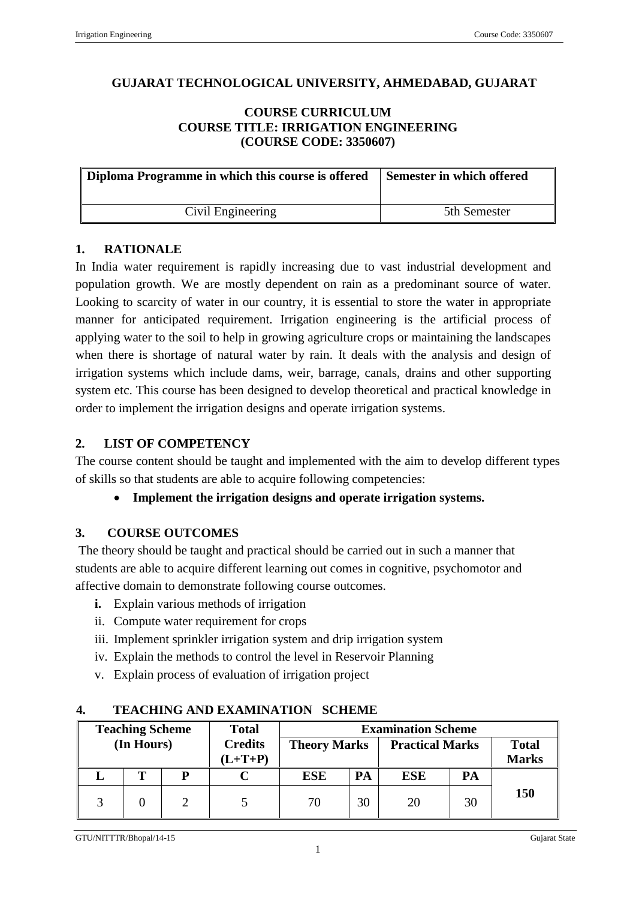# **GUJARAT TECHNOLOGICAL UNIVERSITY, AHMEDABAD, GUJARAT**

#### **COURSE CURRICULUM COURSE TITLE: IRRIGATION ENGINEERING (COURSE CODE: 3350607)**

| Diploma Programme in which this course is offered | Semester in which offered |
|---------------------------------------------------|---------------------------|
| Civil Engineering                                 | 5th Semester              |

#### **1. RATIONALE**

In India water requirement is rapidly increasing due to vast industrial development and population growth. We are mostly dependent on rain as a predominant source of water. Looking to scarcity of water in our country, it is essential to store the water in appropriate manner for anticipated requirement. Irrigation engineering is the artificial process of applying water to the soil to help in growing agriculture crops or maintaining the landscapes when there is shortage of natural water by rain. It deals with the analysis and design of irrigation systems which include dams, weir, barrage, canals, drains and other supporting system etc. This course has been designed to develop theoretical and practical knowledge in order to implement the irrigation designs and operate irrigation systems.

## **2. LIST OF COMPETENCY**

The course content should be taught and implemented with the aim to develop different types of skills so that students are able to acquire following competencies:

## **Implement the irrigation designs and operate irrigation systems.**

## **3. COURSE OUTCOMES**

The theory should be taught and practical should be carried out in such a manner that students are able to acquire different learning out comes in cognitive, psychomotor and affective domain to demonstrate following course outcomes.

- **i.** Explain various methods of irrigation
- ii. Compute water requirement for crops
- iii. Implement sprinkler irrigation system and drip irrigation system
- iv. Explain the methods to control the level in Reservoir Planning
- v. Explain process of evaluation of irrigation project

| <b>Teaching Scheme</b> |            |  | <b>Total</b>                |                     |    |                        |    |                              |
|------------------------|------------|--|-----------------------------|---------------------|----|------------------------|----|------------------------------|
|                        | (In Hours) |  | <b>Credits</b><br>$(L+T+P)$ | <b>Theory Marks</b> |    | <b>Practical Marks</b> |    | <b>Total</b><br><b>Marks</b> |
|                        | m          |  |                             | ESE                 | PA | ESE                    | PA |                              |
|                        |            |  |                             | 70                  | 30 | 20                     | 30 | 150                          |

#### **4. TEACHING AND EXAMINATION SCHEME**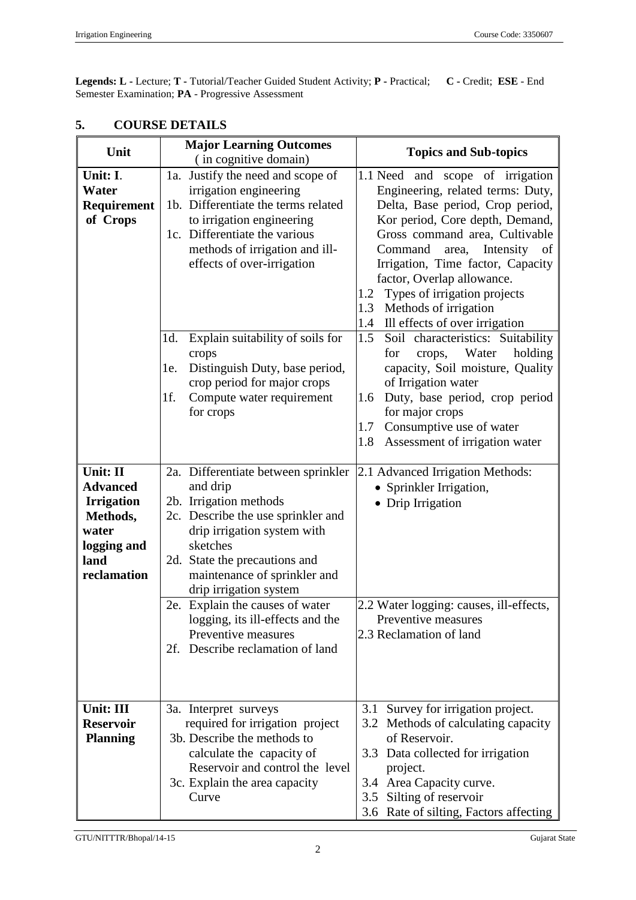**Legends: L -** Lecture; **T -** Tutorial/Teacher Guided Student Activity; **P -** Practical; **C -** Credit; **ESE** - End Semester Examination; **PA** - Progressive Assessment

| Unit                                                                                                        | <b>Major Learning Outcomes</b>                                                                                                                                                                                                                                                                                                                                                             | <b>Topics and Sub-topics</b>                                                                                                                                                                                                                                                                                                                                                                                                                                                                                                     |  |  |
|-------------------------------------------------------------------------------------------------------------|--------------------------------------------------------------------------------------------------------------------------------------------------------------------------------------------------------------------------------------------------------------------------------------------------------------------------------------------------------------------------------------------|----------------------------------------------------------------------------------------------------------------------------------------------------------------------------------------------------------------------------------------------------------------------------------------------------------------------------------------------------------------------------------------------------------------------------------------------------------------------------------------------------------------------------------|--|--|
| Unit: I.<br>Water<br>Requirement<br>of Crops                                                                | (in cognitive domain)<br>1a. Justify the need and scope of<br>irrigation engineering<br>1b. Differentiate the terms related<br>to irrigation engineering<br>1c. Differentiate the various<br>methods of irrigation and ill-<br>effects of over-irrigation<br>Explain suitability of soils for<br>1d.<br>crops<br>Distinguish Duty, base period,<br>le.                                     | 1.1 Need<br>and scope of irrigation<br>Engineering, related terms: Duty,<br>Delta, Base period, Crop period,<br>Kor period, Core depth, Demand,<br>Gross command area, Cultivable<br>Intensity<br>Command<br>area,<br>of<br>Irrigation, Time factor, Capacity<br>factor, Overlap allowance.<br>Types of irrigation projects<br>1.2<br>Methods of irrigation<br>1.3<br>Ill effects of over irrigation<br>1.4<br>1.5<br>Soil characteristics: Suitability<br>Water<br>holding<br>for<br>crops,<br>capacity, Soil moisture, Quality |  |  |
|                                                                                                             | crop period for major crops<br>Compute water requirement<br>1f.<br>for crops                                                                                                                                                                                                                                                                                                               | of Irrigation water<br>Duty, base period, crop period<br>1.6<br>for major crops<br>Consumptive use of water<br>1.7<br>Assessment of irrigation water<br>1.8                                                                                                                                                                                                                                                                                                                                                                      |  |  |
| Unit: II<br><b>Advanced</b><br><b>Irrigation</b><br>Methods,<br>water<br>logging and<br>land<br>reclamation | 2a. Differentiate between sprinkler<br>and drip<br>2b. Irrigation methods<br>2c. Describe the use sprinkler and<br>drip irrigation system with<br>sketches<br>2d. State the precautions and<br>maintenance of sprinkler and<br>drip irrigation system<br>2e. Explain the causes of water<br>logging, its ill-effects and the<br>Preventive measures<br>Describe reclamation of land<br>2f. | 2.1 Advanced Irrigation Methods:<br>• Sprinkler Irrigation,<br>• Drip Irrigation<br>2.2 Water logging: causes, ill-effects,<br>Preventive measures<br>2.3 Reclamation of land                                                                                                                                                                                                                                                                                                                                                    |  |  |
| Unit: III<br><b>Reservoir</b><br><b>Planning</b>                                                            | 3a. Interpret surveys<br>required for irrigation project<br>3b. Describe the methods to<br>calculate the capacity of<br>Reservoir and control the level<br>3c. Explain the area capacity<br>Curve                                                                                                                                                                                          | 3.1 Survey for irrigation project.<br>Methods of calculating capacity<br>3.2<br>of Reservoir.<br>Data collected for irrigation<br>3.3<br>project.<br>Area Capacity curve.<br>3.4<br>Silting of reservoir<br>3.5<br>3.6 Rate of silting, Factors affecting                                                                                                                                                                                                                                                                        |  |  |

# **5. COURSE DETAILS**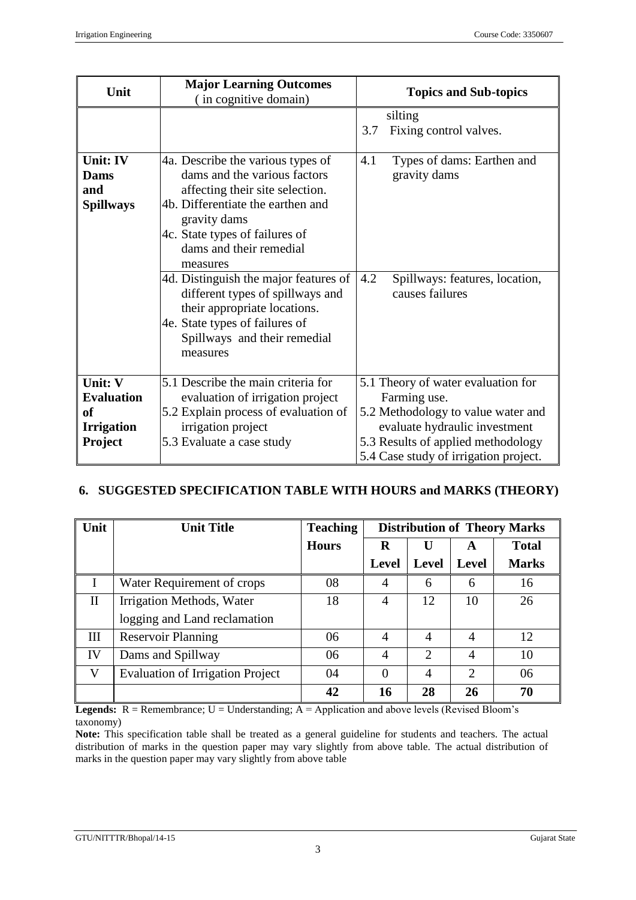| Unit                                        | <b>Major Learning Outcomes</b><br>(in cognitive domain)                                                                                                                                                                                                                                                                                                                                                                       | <b>Topics and Sub-topics</b>                                                                                  |  |  |
|---------------------------------------------|-------------------------------------------------------------------------------------------------------------------------------------------------------------------------------------------------------------------------------------------------------------------------------------------------------------------------------------------------------------------------------------------------------------------------------|---------------------------------------------------------------------------------------------------------------|--|--|
|                                             |                                                                                                                                                                                                                                                                                                                                                                                                                               | silting<br>3.7<br>Fixing control valves.                                                                      |  |  |
| Unit: IV<br>Dams<br>and<br><b>Spillways</b> | 4a. Describe the various types of<br>dams and the various factors<br>affecting their site selection.<br>4b. Differentiate the earthen and<br>gravity dams<br>4c. State types of failures of<br>dams and their remedial<br>measures<br>4d. Distinguish the major features of<br>different types of spillways and<br>their appropriate locations.<br>4e. State types of failures of<br>Spillways and their remedial<br>measures | 4.1<br>Types of dams: Earthen and<br>gravity dams<br>4.2<br>Spillways: features, location,<br>causes failures |  |  |
| Unit: V<br><b>Evaluation</b><br>of          | 5.1 Describe the main criteria for<br>evaluation of irrigation project<br>5.2 Explain process of evaluation of                                                                                                                                                                                                                                                                                                                | 5.1 Theory of water evaluation for<br>Farming use.<br>5.2 Methodology to value water and                      |  |  |
| <b>Irrigation</b><br><b>Project</b>         | irrigation project<br>5.3 Evaluate a case study                                                                                                                                                                                                                                                                                                                                                                               | evaluate hydraulic investment<br>5.3 Results of applied methodology<br>5.4 Case study of irrigation project.  |  |  |

# **6. SUGGESTED SPECIFICATION TABLE WITH HOURS and MARKS (THEORY)**

| Unit         | <b>Unit Title</b>                       | <b>Teaching</b> | <b>Distribution of Theory Marks</b> |                |                             |              |
|--------------|-----------------------------------------|-----------------|-------------------------------------|----------------|-----------------------------|--------------|
|              |                                         | <b>Hours</b>    | R                                   | U              | A                           | <b>Total</b> |
|              |                                         |                 | Level                               | <b>Level</b>   | Level                       | <b>Marks</b> |
|              | Water Requirement of crops              | 08              | 4                                   | 6              | 6                           | 16           |
| $\mathbf{I}$ | Irrigation Methods, Water               | 18              | 4                                   | 12             | 10                          | 26           |
|              | logging and Land reclamation            |                 |                                     |                |                             |              |
| Ш            | <b>Reservoir Planning</b>               | 06              | $\overline{4}$                      | 4              | 4                           | 12           |
| IV           | Dams and Spillway                       | 06              | 4                                   | $\overline{2}$ | 4                           | 10           |
| V            | <b>Evaluation of Irrigation Project</b> | 04              | $\Omega$                            | 4              | $\mathcal{D}_{\mathcal{L}}$ | 06           |
|              |                                         | 42              | 16                                  | 28             | 26                          | 70           |

**Legends:**  $R =$  Remembrance;  $U =$  Understanding;  $A =$  Application and above levels (Revised Bloom's taxonomy)

**Note:** This specification table shall be treated as a general guideline for students and teachers. The actual distribution of marks in the question paper may vary slightly from above table. The actual distribution of marks in the question paper may vary slightly from above table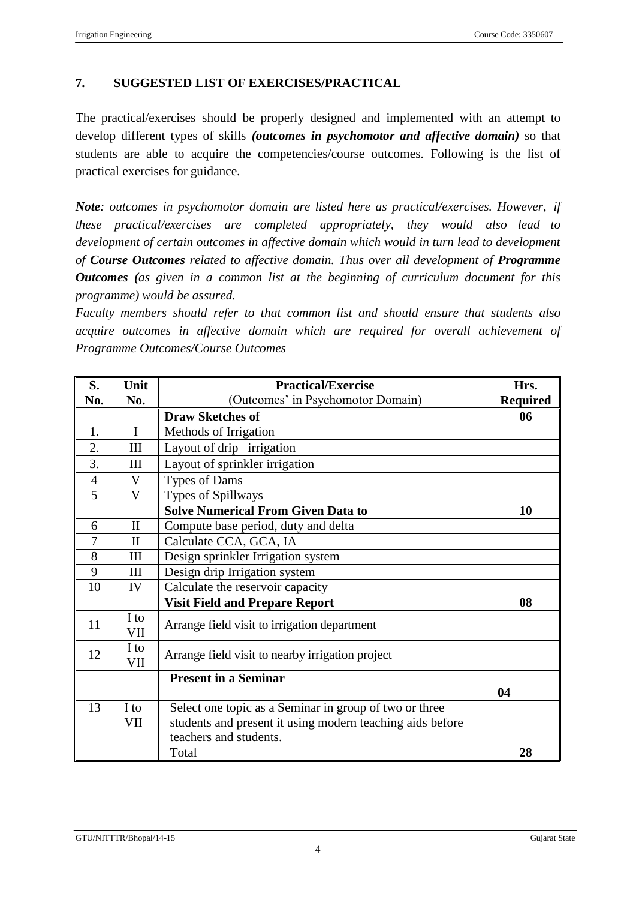# **7. SUGGESTED LIST OF EXERCISES/PRACTICAL**

The practical/exercises should be properly designed and implemented with an attempt to develop different types of skills *(outcomes in psychomotor and affective domain)* so that students are able to acquire the competencies/course outcomes. Following is the list of practical exercises for guidance.

*Note: outcomes in psychomotor domain are listed here as practical/exercises. However, if these practical/exercises are completed appropriately, they would also lead to development of certain outcomes in affective domain which would in turn lead to development of Course Outcomes related to affective domain. Thus over all development of Programme Outcomes (as given in a common list at the beginning of curriculum document for this programme) would be assured.*

*Faculty members should refer to that common list and should ensure that students also acquire outcomes in affective domain which are required for overall achievement of Programme Outcomes/Course Outcomes*

| S.             | Unit               | <b>Practical/Exercise</b>                                 | Hrs.            |
|----------------|--------------------|-----------------------------------------------------------|-----------------|
| No.            | No.                | (Outcomes' in Psychomotor Domain)                         | <b>Required</b> |
|                |                    | <b>Draw Sketches of</b>                                   | 06              |
| 1.             | $\mathbf I$        | Methods of Irrigation                                     |                 |
| 2.             | III                | Layout of drip irrigation                                 |                 |
| 3.             | III                | Layout of sprinkler irrigation                            |                 |
| $\overline{4}$ | V                  | Types of Dams                                             |                 |
| 5              | $\mathbf{V}$       | Types of Spillways                                        |                 |
|                |                    | <b>Solve Numerical From Given Data to</b>                 | 10              |
| 6              | $\mathbf{I}$       | Compute base period, duty and delta                       |                 |
| 7              | $\mathbf{I}$       | Calculate CCA, GCA, IA                                    |                 |
| 8              | III                | Design sprinkler Irrigation system                        |                 |
| 9              | III                | Design drip Irrigation system                             |                 |
| 10             | IV                 | Calculate the reservoir capacity                          |                 |
|                |                    | <b>Visit Field and Prepare Report</b>                     | 08              |
| 11             | I to<br><b>VII</b> | Arrange field visit to irrigation department              |                 |
| 12             | I to<br>VII        | Arrange field visit to nearby irrigation project          |                 |
|                |                    | <b>Present in a Seminar</b>                               |                 |
|                |                    |                                                           | 04              |
| 13             | I to               | Select one topic as a Seminar in group of two or three    |                 |
|                | VII                | students and present it using modern teaching aids before |                 |
|                |                    | teachers and students.                                    |                 |
|                |                    | Total                                                     | 28              |